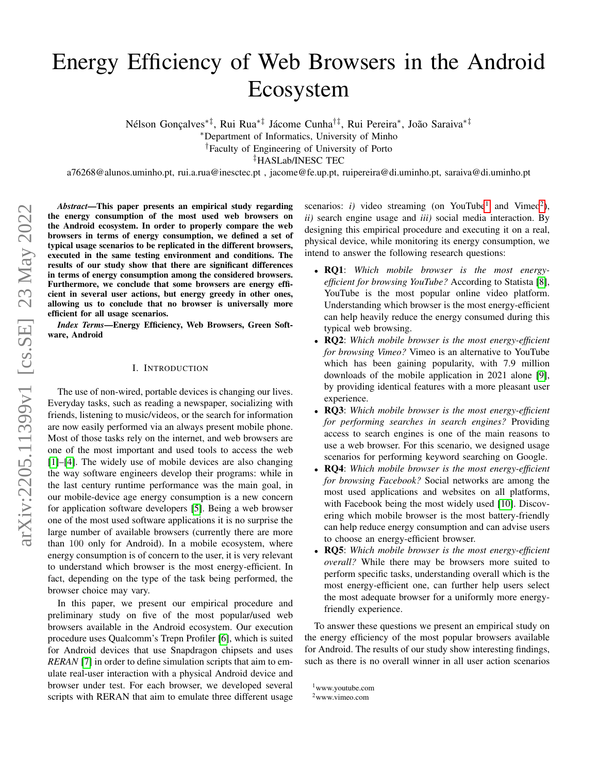# Energy Efficiency of Web Browsers in the Android Ecosystem

Nélson Gonçalves<sup>\*‡</sup>, Rui Rua<sup>\*‡</sup> Jácome Cunha<sup>†‡</sup>, Rui Pereira\*, João Saraiva<sup>\*‡</sup>

<sup>∗</sup>Department of Informatics, University of Minho

†Faculty of Engineering of University of Porto

‡HASLab/INESC TEC

a76268@alunos.uminho.pt, rui.a.rua@inesctec.pt , jacome@fe.up.pt, ruipereira@di.uminho.pt, saraiva@di.uminho.pt

*Abstract*—This paper presents an empirical study regarding the energy consumption of the most used web browsers on the Android ecosystem. In order to properly compare the web browsers in terms of energy consumption, we defined a set of typical usage scenarios to be replicated in the different browsers, executed in the same testing environment and conditions. The results of our study show that there are significant differences in terms of energy consumption among the considered browsers. Furthermore, we conclude that some browsers are energy efficient in several user actions, but energy greedy in other ones, allowing us to conclude that no browser is universally more efficient for all usage scenarios.

*Index Terms*—Energy Efficiency, Web Browsers, Green Software, Android

## I. INTRODUCTION

<span id="page-0-2"></span>The use of non-wired, portable devices is changing our lives. Everyday tasks, such as reading a newspaper, socializing with friends, listening to music/videos, or the search for information are now easily performed via an always present mobile phone. Most of those tasks rely on the internet, and web browsers are one of the most important and used tools to access the web [\[1\]](#page-8-0)–[\[4\]](#page-8-1). The widely use of mobile devices are also changing the way software engineers develop their programs: while in the last century runtime performance was the main goal, in our mobile-device age energy consumption is a new concern for application software developers [\[5\]](#page-8-2). Being a web browser one of the most used software applications it is no surprise the large number of available browsers (currently there are more than 100 only for Android). In a mobile ecosystem, where energy consumption is of concern to the user, it is very relevant to understand which browser is the most energy-efficient. In fact, depending on the type of the task being performed, the browser choice may vary.

In this paper, we present our empirical procedure and preliminary study on five of the most popular/used web browsers available in the Android ecosystem. Our execution procedure uses Qualcomm's Trepn Profiler [\[6\]](#page-8-3), which is suited for Android devices that use Snapdragon chipsets and uses *RERAN* [\[7\]](#page-8-4) in order to define simulation scripts that aim to emulate real-user interaction with a physical Android device and browser under test. For each browser, we developed several scripts with RERAN that aim to emulate three different usage

scenarios: *i*) video streaming (on YouTube<sup>[1](#page-0-0)</sup> and Vimeo<sup>[2](#page-0-1)</sup>), *ii)* search engine usage and *iii)* social media interaction. By designing this empirical procedure and executing it on a real, physical device, while monitoring its energy consumption, we intend to answer the following research questions:

- RQ1: *Which mobile browser is the most energyefficient for browsing YouTube?* According to Statista [\[8\]](#page-8-5), YouTube is the most popular online video platform. Understanding which browser is the most energy-efficient can help heavily reduce the energy consumed during this typical web browsing.
- RQ2: *Which mobile browser is the most energy-efficient for browsing Vimeo?* Vimeo is an alternative to YouTube which has been gaining popularity, with 7.9 million downloads of the mobile application in 2021 alone [\[9\]](#page-8-6), by providing identical features with a more pleasant user experience.
- RQ3: *Which mobile browser is the most energy-efficient for performing searches in search engines?* Providing access to search engines is one of the main reasons to use a web browser. For this scenario, we designed usage scenarios for performing keyword searching on Google.
- RQ4: *Which mobile browser is the most energy-efficient for browsing Facebook?* Social networks are among the most used applications and websites on all platforms, with Facebook being the most widely used [\[10\]](#page-8-7). Discovering which mobile browser is the most battery-friendly can help reduce energy consumption and can advise users to choose an energy-efficient browser.
- RQ5: *Which mobile browser is the most energy-efficient overall?* While there may be browsers more suited to perform specific tasks, understanding overall which is the most energy-efficient one, can further help users select the most adequate browser for a uniformly more energyfriendly experience.

To answer these questions we present an empirical study on the energy efficiency of the most popular browsers available for Android. The results of our study show interesting findings, such as there is no overall winner in all user action scenarios

<span id="page-0-0"></span><sup>1</sup>www.youtube.com

<span id="page-0-1"></span> $2$ www.vimeo.com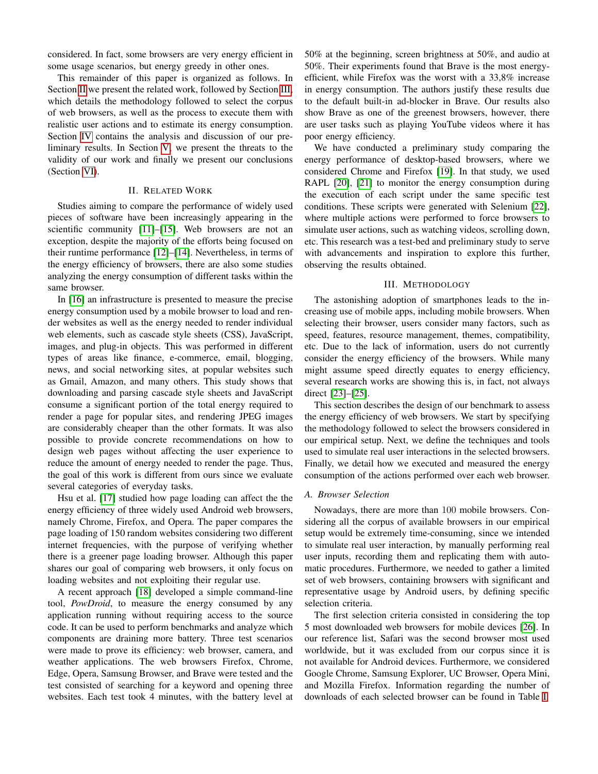considered. In fact, some browsers are very energy efficient in some usage scenarios, but energy greedy in other ones.

This remainder of this paper is organized as follows. In Section [II](#page-1-0) we present the related work, followed by Section [III,](#page-1-1) which details the methodology followed to select the corpus of web browsers, as well as the process to execute them with realistic user actions and to estimate its energy consumption. Section [IV](#page-3-0) contains the analysis and discussion of our preliminary results. In Section [V,](#page-7-0) we present the threats to the validity of our work and finally we present our conclusions (Section [VI\)](#page-7-1).

# II. RELATED WORK

<span id="page-1-0"></span>Studies aiming to compare the performance of widely used pieces of software have been increasingly appearing in the scientific community [\[11\]](#page-8-8)–[\[15\]](#page-8-9). Web browsers are not an exception, despite the majority of the efforts being focused on their runtime performance [\[12\]](#page-8-10)–[\[14\]](#page-8-11). Nevertheless, in terms of the energy efficiency of browsers, there are also some studies analyzing the energy consumption of different tasks within the same browser.

In [\[16\]](#page-8-12) an infrastructure is presented to measure the precise energy consumption used by a mobile browser to load and render websites as well as the energy needed to render individual web elements, such as cascade style sheets (CSS), JavaScript, images, and plug-in objects. This was performed in different types of areas like finance, e-commerce, email, blogging, news, and social networking sites, at popular websites such as Gmail, Amazon, and many others. This study shows that downloading and parsing cascade style sheets and JavaScript consume a significant portion of the total energy required to render a page for popular sites, and rendering JPEG images are considerably cheaper than the other formats. It was also possible to provide concrete recommendations on how to design web pages without affecting the user experience to reduce the amount of energy needed to render the page. Thus, the goal of this work is different from ours since we evaluate several categories of everyday tasks.

Hsu et al. [\[17\]](#page-8-13) studied how page loading can affect the the energy efficiency of three widely used Android web browsers, namely Chrome, Firefox, and Opera. The paper compares the page loading of 150 random websites considering two different internet frequencies, with the purpose of verifying whether there is a greener page loading browser. Although this paper shares our goal of comparing web browsers, it only focus on loading websites and not exploiting their regular use.

A recent approach [\[18\]](#page-8-14) developed a simple command-line tool, *PowDroid*, to measure the energy consumed by any application running without requiring access to the source code. It can be used to perform benchmarks and analyze which components are draining more battery. Three test scenarios were made to prove its efficiency: web browser, camera, and weather applications. The web browsers Firefox, Chrome, Edge, Opera, Samsung Browser, and Brave were tested and the test consisted of searching for a keyword and opening three websites. Each test took 4 minutes, with the battery level at

50% at the beginning, screen brightness at 50%, and audio at 50%. Their experiments found that Brave is the most energyefficient, while Firefox was the worst with a 33,8% increase in energy consumption. The authors justify these results due to the default built-in ad-blocker in Brave. Our results also show Brave as one of the greenest browsers, however, there are user tasks such as playing YouTube videos where it has poor energy efficiency.

We have conducted a preliminary study comparing the energy performance of desktop-based browsers, where we considered Chrome and Firefox [\[19\]](#page-8-15). In that study, we used RAPL [\[20\]](#page-8-16), [\[21\]](#page-8-17) to monitor the energy consumption during the execution of each script under the same specific test conditions. These scripts were generated with Selenium [\[22\]](#page-8-18), where multiple actions were performed to force browsers to simulate user actions, such as watching videos, scrolling down, etc. This research was a test-bed and preliminary study to serve with advancements and inspiration to explore this further, observing the results obtained.

# III. METHODOLOGY

<span id="page-1-1"></span>The astonishing adoption of smartphones leads to the increasing use of mobile apps, including mobile browsers. When selecting their browser, users consider many factors, such as speed, features, resource management, themes, compatibility, etc. Due to the lack of information, users do not currently consider the energy efficiency of the browsers. While many might assume speed directly equates to energy efficiency, several research works are showing this is, in fact, not always direct [\[23\]](#page-8-19)–[\[25\]](#page-8-20).

This section describes the design of our benchmark to assess the energy efficiency of web browsers. We start by specifying the methodology followed to select the browsers considered in our empirical setup. Next, we define the techniques and tools used to simulate real user interactions in the selected browsers. Finally, we detail how we executed and measured the energy consumption of the actions performed over each web browser.

## *A. Browser Selection*

Nowadays, there are more than 100 mobile browsers. Considering all the corpus of available browsers in our empirical setup would be extremely time-consuming, since we intended to simulate real user interaction, by manually performing real user inputs, recording them and replicating them with automatic procedures. Furthermore, we needed to gather a limited set of web browsers, containing browsers with significant and representative usage by Android users, by defining specific selection criteria.

The first selection criteria consisted in considering the top 5 most downloaded web browsers for mobile devices [\[26\]](#page-8-21). In our reference list, Safari was the second browser most used worldwide, but it was excluded from our corpus since it is not available for Android devices. Furthermore, we considered Google Chrome, Samsung Explorer, UC Browser, Opera Mini, and Mozilla Firefox. Information regarding the number of downloads of each selected browser can be found in Table [I.](#page-2-0)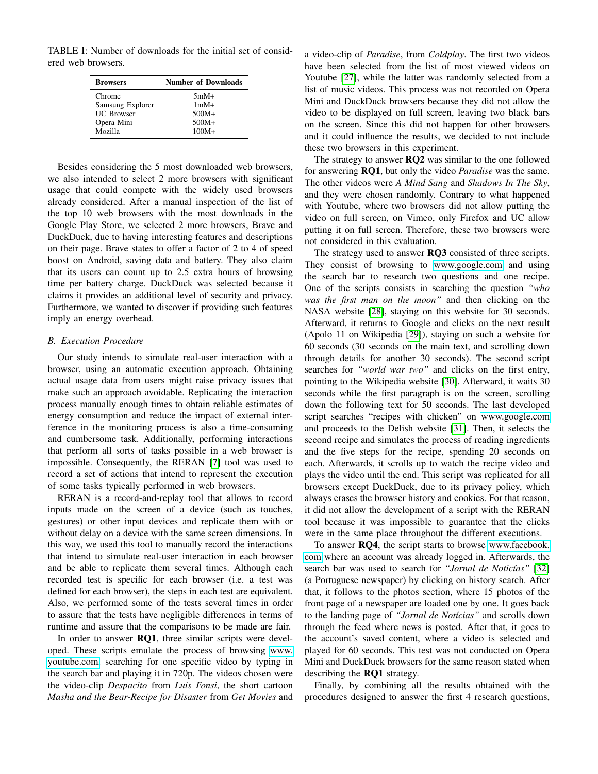<span id="page-2-0"></span>TABLE I: Number of downloads for the initial set of considered web browsers.

| <b>Browsers</b>   | <b>Number of Downloads</b> |  |  |  |  |
|-------------------|----------------------------|--|--|--|--|
| Chrome            | $5mM+$                     |  |  |  |  |
| Samsung Explorer  | $1mM+$                     |  |  |  |  |
| <b>UC</b> Browser | $500M+$                    |  |  |  |  |
| Opera Mini        | $500M+$                    |  |  |  |  |
| Mozilla           | $100M +$                   |  |  |  |  |

Besides considering the 5 most downloaded web browsers, we also intended to select 2 more browsers with significant usage that could compete with the widely used browsers already considered. After a manual inspection of the list of the top 10 web browsers with the most downloads in the Google Play Store, we selected 2 more browsers, Brave and DuckDuck, due to having interesting features and descriptions on their page. Brave states to offer a factor of 2 to 4 of speed boost on Android, saving data and battery. They also claim that its users can count up to 2.5 extra hours of browsing time per battery charge. DuckDuck was selected because it claims it provides an additional level of security and privacy. Furthermore, we wanted to discover if providing such features imply an energy overhead.

# *B. Execution Procedure*

Our study intends to simulate real-user interaction with a browser, using an automatic execution approach. Obtaining actual usage data from users might raise privacy issues that make such an approach avoidable. Replicating the interaction process manually enough times to obtain reliable estimates of energy consumption and reduce the impact of external interference in the monitoring process is also a time-consuming and cumbersome task. Additionally, performing interactions that perform all sorts of tasks possible in a web browser is impossible. Consequently, the RERAN [\[7\]](#page-8-4) tool was used to record a set of actions that intend to represent the execution of some tasks typically performed in web browsers.

RERAN is a record-and-replay tool that allows to record inputs made on the screen of a device (such as touches, gestures) or other input devices and replicate them with or without delay on a device with the same screen dimensions. In this way, we used this tool to manually record the interactions that intend to simulate real-user interaction in each browser and be able to replicate them several times. Although each recorded test is specific for each browser (i.e. a test was defined for each browser), the steps in each test are equivalent. Also, we performed some of the tests several times in order to assure that the tests have negligible differences in terms of runtime and assure that the comparisons to be made are fair.

In order to answer RQ1, three similar scripts were developed. These scripts emulate the process of browsing [www.](www.youtube.com) [youtube.com,](www.youtube.com) searching for one specific video by typing in the search bar and playing it in 720p. The videos chosen were the video-clip *Despacito* from *Luis Fonsi*, the short cartoon *Masha and the Bear-Recipe for Disaster* from *Get Movies* and

a video-clip of *Paradise*, from *Coldplay*. The first two videos have been selected from the list of most viewed videos on Youtube [\[27\]](#page-8-22), while the latter was randomly selected from a list of music videos. This process was not recorded on Opera Mini and DuckDuck browsers because they did not allow the video to be displayed on full screen, leaving two black bars on the screen. Since this did not happen for other browsers and it could influence the results, we decided to not include these two browsers in this experiment.

The strategy to answer  $RQ2$  was similar to the one followed for answering RQ1, but only the video *Paradise* was the same. The other videos were *A Mind Sang* and *Shadows In The Sky*, and they were chosen randomly. Contrary to what happened with Youtube, where two browsers did not allow putting the video on full screen, on Vimeo, only Firefox and UC allow putting it on full screen. Therefore, these two browsers were not considered in this evaluation.

The strategy used to answer RQ3 consisted of three scripts. They consist of browsing to<www.google.com> and using the search bar to research two questions and one recipe. One of the scripts consists in searching the question *"who was the first man on the moon"* and then clicking on the NASA website [\[28\]](#page-8-23), staying on this website for 30 seconds. Afterward, it returns to Google and clicks on the next result (Apolo 11 on Wikipedia [\[29\]](#page-8-24)), staying on such a website for 60 seconds (30 seconds on the main text, and scrolling down through details for another 30 seconds). The second script searches for *"world war two"* and clicks on the first entry, pointing to the Wikipedia website [\[30\]](#page-8-25). Afterward, it waits 30 seconds while the first paragraph is on the screen, scrolling down the following text for 50 seconds. The last developed script searches "recipes with chicken" on<www.google.com> and proceeds to the Delish website [\[31\]](#page-8-26). Then, it selects the second recipe and simulates the process of reading ingredients and the five steps for the recipe, spending 20 seconds on each. Afterwards, it scrolls up to watch the recipe video and plays the video until the end. This script was replicated for all browsers except DuckDuck, due to its privacy policy, which always erases the browser history and cookies. For that reason, it did not allow the development of a script with the RERAN tool because it was impossible to guarantee that the clicks were in the same place throughout the different executions.

To answer RQ4, the script starts to browse [www.facebook.](www.facebook.com) [com](www.facebook.com) where an account was already logged in. Afterwards, the search bar was used to search for "Jornal de Noticías" [\[32\]](#page-8-27) (a Portuguese newspaper) by clicking on history search. After that, it follows to the photos section, where 15 photos of the front page of a newspaper are loaded one by one. It goes back to the landing page of "*Jornal de Notícias*" and scrolls down through the feed where news is posted. After that, it goes to the account's saved content, where a video is selected and played for 60 seconds. This test was not conducted on Opera Mini and DuckDuck browsers for the same reason stated when describing the RQ1 strategy.

Finally, by combining all the results obtained with the procedures designed to answer the first 4 research questions,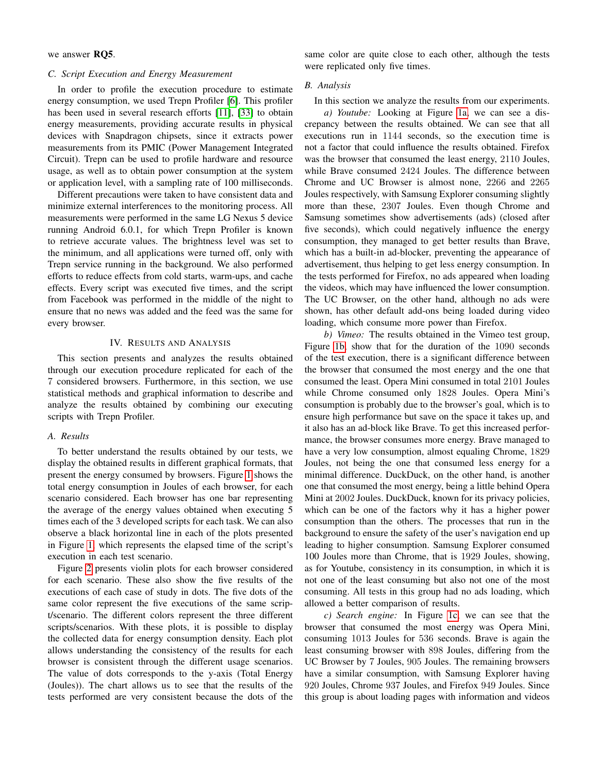# we answer RQ5.

## *C. Script Execution and Energy Measurement*

In order to profile the execution procedure to estimate energy consumption, we used Trepn Profiler [\[6\]](#page-8-3). This profiler has been used in several research efforts [\[11\]](#page-8-8), [\[33\]](#page-8-28) to obtain energy measurements, providing accurate results in physical devices with Snapdragon chipsets, since it extracts power measurements from its PMIC (Power Management Integrated Circuit). Trepn can be used to profile hardware and resource usage, as well as to obtain power consumption at the system or application level, with a sampling rate of 100 milliseconds.

Different precautions were taken to have consistent data and minimize external interferences to the monitoring process. All measurements were performed in the same LG Nexus 5 device running Android 6.0.1, for which Trepn Profiler is known to retrieve accurate values. The brightness level was set to the minimum, and all applications were turned off, only with Trepn service running in the background. We also performed efforts to reduce effects from cold starts, warm-ups, and cache effects. Every script was executed five times, and the script from Facebook was performed in the middle of the night to ensure that no news was added and the feed was the same for every browser.

# IV. RESULTS AND ANALYSIS

<span id="page-3-0"></span>This section presents and analyzes the results obtained through our execution procedure replicated for each of the 7 considered browsers. Furthermore, in this section, we use statistical methods and graphical information to describe and analyze the results obtained by combining our executing scripts with Trepn Profiler.

# *A. Results*

To better understand the results obtained by our tests, we display the obtained results in different graphical formats, that present the energy consumed by browsers. Figure [1](#page-4-0) shows the total energy consumption in Joules of each browser, for each scenario considered. Each browser has one bar representing the average of the energy values obtained when executing 5 times each of the 3 developed scripts for each task. We can also observe a black horizontal line in each of the plots presented in Figure [1,](#page-4-0) which represents the elapsed time of the script's execution in each test scenario.

Figure [2](#page-5-0) presents violin plots for each browser considered for each scenario. These also show the five results of the executions of each case of study in dots. The five dots of the same color represent the five executions of the same script/scenario. The different colors represent the three different scripts/scenarios. With these plots, it is possible to display the collected data for energy consumption density. Each plot allows understanding the consistency of the results for each browser is consistent through the different usage scenarios. The value of dots corresponds to the y-axis (Total Energy (Joules)). The chart allows us to see that the results of the tests performed are very consistent because the dots of the same color are quite close to each other, although the tests were replicated only five times.

#### *B. Analysis*

In this section we analyze the results from our experiments.

*a) Youtube:* Looking at Figure [1a,](#page-4-0) we can see a discrepancy between the results obtained. We can see that all executions run in 1144 seconds, so the execution time is not a factor that could influence the results obtained. Firefox was the browser that consumed the least energy, 2110 Joules, while Brave consumed 2424 Joules. The difference between Chrome and UC Browser is almost none, 2266 and 2265 Joules respectively, with Samsung Explorer consuming slightly more than these, 2307 Joules. Even though Chrome and Samsung sometimes show advertisements (ads) (closed after five seconds), which could negatively influence the energy consumption, they managed to get better results than Brave, which has a built-in ad-blocker, preventing the appearance of advertisement, thus helping to get less energy consumption. In the tests performed for Firefox, no ads appeared when loading the videos, which may have influenced the lower consumption. The UC Browser, on the other hand, although no ads were shown, has other default add-ons being loaded during video loading, which consume more power than Firefox.

*b) Vimeo:* The results obtained in the Vimeo test group, Figure [1b,](#page-4-0) show that for the duration of the 1090 seconds of the test execution, there is a significant difference between the browser that consumed the most energy and the one that consumed the least. Opera Mini consumed in total 2101 Joules while Chrome consumed only 1828 Joules. Opera Mini's consumption is probably due to the browser's goal, which is to ensure high performance but save on the space it takes up, and it also has an ad-block like Brave. To get this increased performance, the browser consumes more energy. Brave managed to have a very low consumption, almost equaling Chrome, 1829 Joules, not being the one that consumed less energy for a minimal difference. DuckDuck, on the other hand, is another one that consumed the most energy, being a little behind Opera Mini at 2002 Joules. DuckDuck, known for its privacy policies, which can be one of the factors why it has a higher power consumption than the others. The processes that run in the background to ensure the safety of the user's navigation end up leading to higher consumption. Samsung Explorer consumed 100 Joules more than Chrome, that is 1929 Joules, showing, as for Youtube, consistency in its consumption, in which it is not one of the least consuming but also not one of the most consuming. All tests in this group had no ads loading, which allowed a better comparison of results.

*c) Search engine:* In Figure [1c,](#page-4-0) we can see that the browser that consumed the most energy was Opera Mini, consuming 1013 Joules for 536 seconds. Brave is again the least consuming browser with 898 Joules, differing from the UC Browser by 7 Joules, 905 Joules. The remaining browsers have a similar consumption, with Samsung Explorer having 920 Joules, Chrome 937 Joules, and Firefox 949 Joules. Since this group is about loading pages with information and videos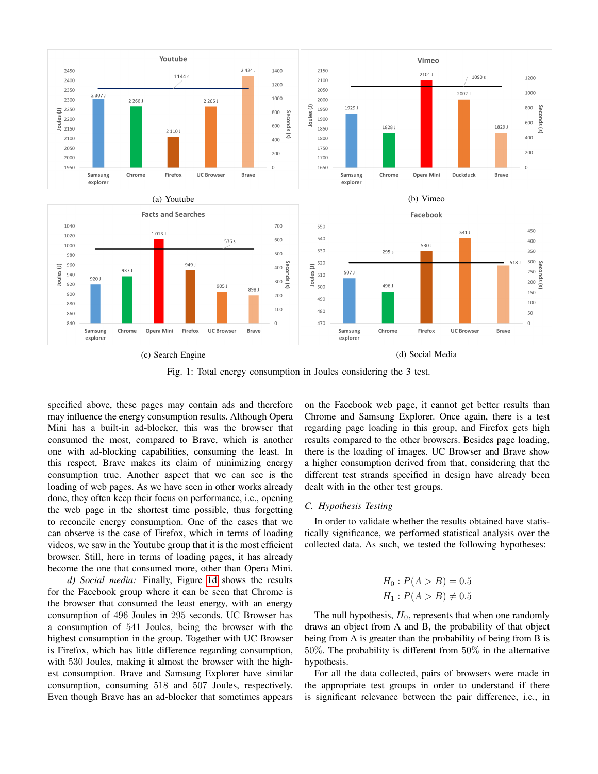<span id="page-4-0"></span>

Fig. 1: Total energy consumption in Joules considering the 3 test.

specified above, these pages may contain ads and therefore may influence the energy consumption results. Although Opera Mini has a built-in ad-blocker, this was the browser that consumed the most, compared to Brave, which is another one with ad-blocking capabilities, consuming the least. In this respect, Brave makes its claim of minimizing energy consumption true. Another aspect that we can see is the loading of web pages. As we have seen in other works already done, they often keep their focus on performance, i.e., opening the web page in the shortest time possible, thus forgetting to reconcile energy consumption. One of the cases that we can observe is the case of Firefox, which in terms of loading videos, we saw in the Youtube group that it is the most efficient browser. Still, here in terms of loading pages, it has already become the one that consumed more, other than Opera Mini.

*d) Social media:* Finally, Figure [1d](#page-4-0) shows the results for the Facebook group where it can be seen that Chrome is the browser that consumed the least energy, with an energy consumption of 496 Joules in 295 seconds. UC Browser has a consumption of 541 Joules, being the browser with the highest consumption in the group. Together with UC Browser is Firefox, which has little difference regarding consumption, with 530 Joules, making it almost the browser with the highest consumption. Brave and Samsung Explorer have similar consumption, consuming 518 and 507 Joules, respectively. Even though Brave has an ad-blocker that sometimes appears on the Facebook web page, it cannot get better results than Chrome and Samsung Explorer. Once again, there is a test regarding page loading in this group, and Firefox gets high results compared to the other browsers. Besides page loading, there is the loading of images. UC Browser and Brave show a higher consumption derived from that, considering that the different test strands specified in design have already been dealt with in the other test groups.

# *C. Hypothesis Testing*

In order to validate whether the results obtained have statistically significance, we performed statistical analysis over the collected data. As such, we tested the following hypotheses:

$$
H_0: P(A > B) = 0.5
$$
  

$$
H_1: P(A > B) \neq 0.5
$$

The null hypothesis,  $H_0$ , represents that when one randomly draws an object from A and B, the probability of that object being from A is greater than the probability of being from B is 50%. The probability is different from 50% in the alternative hypothesis.

For all the data collected, pairs of browsers were made in the appropriate test groups in order to understand if there is significant relevance between the pair difference, i.e., in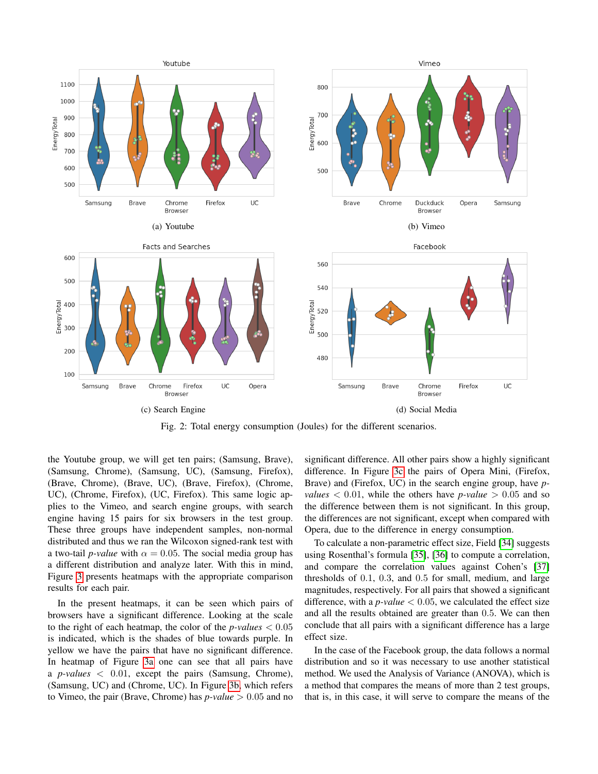<span id="page-5-0"></span>

Fig. 2: Total energy consumption (Joules) for the different scenarios.

the Youtube group, we will get ten pairs; (Samsung, Brave), (Samsung, Chrome), (Samsung, UC), (Samsung, Firefox), (Brave, Chrome), (Brave, UC), (Brave, Firefox), (Chrome, UC), (Chrome, Firefox), (UC, Firefox). This same logic applies to the Vimeo, and search engine groups, with search engine having 15 pairs for six browsers in the test group. These three groups have independent samples, non-normal distributed and thus we ran the Wilcoxon signed-rank test with a two-tail *p*-value with  $\alpha = 0.05$ . The social media group has a different distribution and analyze later. With this in mind, Figure [3](#page-6-0) presents heatmaps with the appropriate comparison results for each pair.

In the present heatmaps, it can be seen which pairs of browsers have a significant difference. Looking at the scale to the right of each heatmap, the color of the *p-values* < 0.05 is indicated, which is the shades of blue towards purple. In yellow we have the pairs that have no significant difference. In heatmap of Figure [3a](#page-6-0) one can see that all pairs have a *p-values* < 0.01, except the pairs (Samsung, Chrome), (Samsung, UC) and (Chrome, UC). In Figure [3b,](#page-6-0) which refers to Vimeo, the pair (Brave, Chrome) has *p-value* > 0.05 and no significant difference. All other pairs show a highly significant difference. In Figure [3c](#page-6-0) the pairs of Opera Mini, (Firefox, Brave) and (Firefox, UC) in the search engine group, have *pvalues*  $\langle 0.01, \text{ while the others have } p-value \rangle 0.05$  and so the difference between them is not significant. In this group, the differences are not significant, except when compared with Opera, due to the difference in energy consumption.

To calculate a non-parametric effect size, Field [\[34\]](#page-8-29) suggests using Rosenthal's formula [\[35\]](#page-8-30), [\[36\]](#page-8-31) to compute a correlation, and compare the correlation values against Cohen's [\[37\]](#page-8-32) thresholds of 0.1, 0.3, and 0.5 for small, medium, and large magnitudes, respectively. For all pairs that showed a significant difference, with a  $p$ -value  $< 0.05$ , we calculated the effect size and all the results obtained are greater than 0.5. We can then conclude that all pairs with a significant difference has a large effect size.

In the case of the Facebook group, the data follows a normal distribution and so it was necessary to use another statistical method. We used the Analysis of Variance (ANOVA), which is a method that compares the means of more than 2 test groups, that is, in this case, it will serve to compare the means of the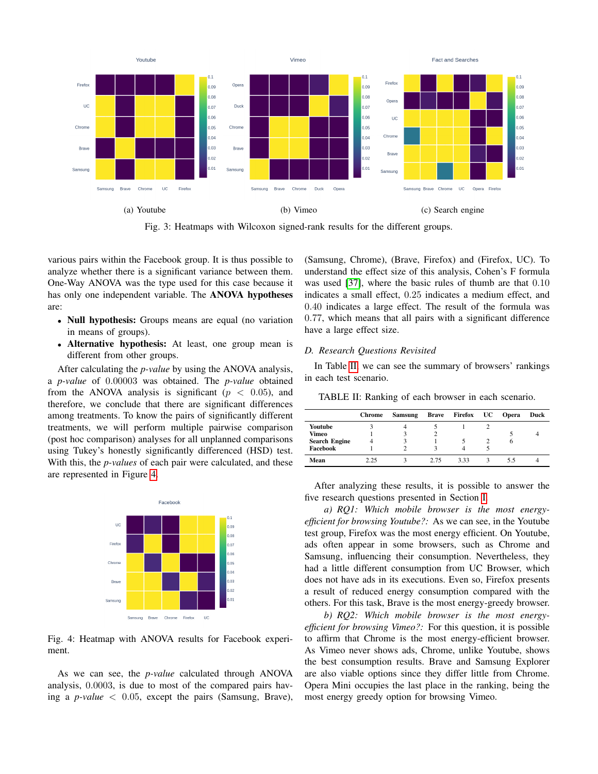<span id="page-6-0"></span>

Fig. 3: Heatmaps with Wilcoxon signed-rank results for the different groups.

various pairs within the Facebook group. It is thus possible to analyze whether there is a significant variance between them. One-Way ANOVA was the type used for this case because it has only one independent variable. The ANOVA hypotheses are:

- Null hypothesis: Groups means are equal (no variation in means of groups).
- Alternative hypothesis: At least, one group mean is different from other groups.

After calculating the *p-value* by using the ANOVA analysis, a *p-value* of 0.00003 was obtained. The *p-value* obtained from the ANOVA analysis is significant ( $p < 0.05$ ), and therefore, we conclude that there are significant differences among treatments. To know the pairs of significantly different treatments, we will perform multiple pairwise comparison (post hoc comparison) analyses for all unplanned comparisons using Tukey's honestly significantly differenced (HSD) test. With this, the *p-values* of each pair were calculated, and these are represented in Figure [4.](#page-6-1)

<span id="page-6-1"></span>

Fig. 4: Heatmap with ANOVA results for Facebook experiment.

As we can see, the *p-value* calculated through ANOVA analysis, 0.0003, is due to most of the compared pairs having a *p-value*  $\langle 0.05 \rangle$ , except the pairs (Samsung, Brave),

(Samsung, Chrome), (Brave, Firefox) and (Firefox, UC). To understand the effect size of this analysis, Cohen's F formula was used [\[37\]](#page-8-32), where the basic rules of thumb are that 0.10 indicates a small effect, 0.25 indicates a medium effect, and 0.40 indicates a large effect. The result of the formula was 0.77, which means that all pairs with a significant difference have a large effect size.

#### *D. Research Questions Revisited*

In Table [II,](#page-6-2) we can see the summary of browsers' rankings in each test scenario.

<span id="page-6-2"></span>TABLE II: Ranking of each browser in each scenario.

|                      | <b>Chrome</b> | <b>Samsung</b> | <b>Brave</b> | <b>Firefox</b> UC | <b>Opera</b> | Duck |
|----------------------|---------------|----------------|--------------|-------------------|--------------|------|
| Youtube              |               |                |              |                   |              |      |
| Vimeo                |               |                |              |                   |              |      |
| <b>Search Engine</b> | 4             |                |              |                   | o            |      |
| Facebook             |               |                |              |                   |              |      |
| Mean                 | 2.25          |                | 2.75         | 333               | 5.5          |      |

After analyzing these results, it is possible to answer the five research questions presented in Section [I.](#page-0-2)

*a) RQ1: Which mobile browser is the most energyefficient for browsing Youtube?:* As we can see, in the Youtube test group, Firefox was the most energy efficient. On Youtube, ads often appear in some browsers, such as Chrome and Samsung, influencing their consumption. Nevertheless, they had a little different consumption from UC Browser, which does not have ads in its executions. Even so, Firefox presents a result of reduced energy consumption compared with the others. For this task, Brave is the most energy-greedy browser.

*b) RQ2: Which mobile browser is the most energyefficient for browsing Vimeo?:* For this question, it is possible to affirm that Chrome is the most energy-efficient browser. As Vimeo never shows ads, Chrome, unlike Youtube, shows the best consumption results. Brave and Samsung Explorer are also viable options since they differ little from Chrome. Opera Mini occupies the last place in the ranking, being the most energy greedy option for browsing Vimeo.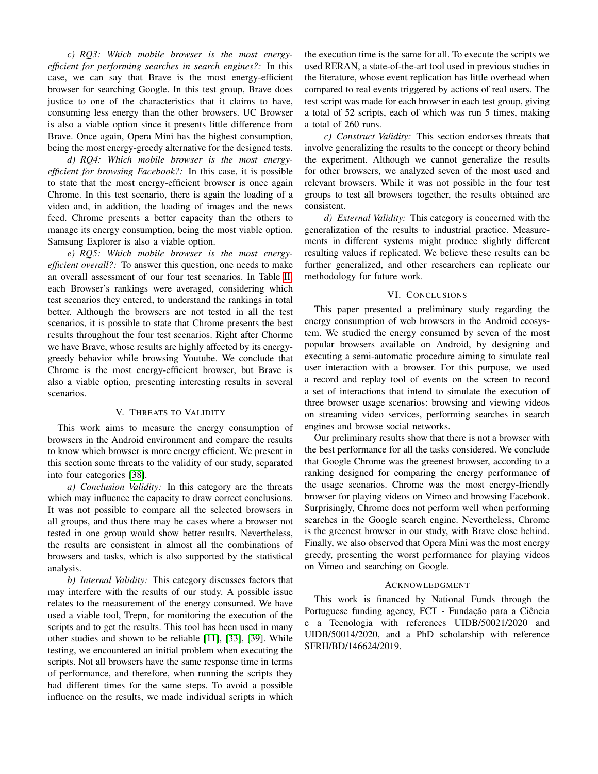*c) RQ3: Which mobile browser is the most energyefficient for performing searches in search engines?:* In this case, we can say that Brave is the most energy-efficient browser for searching Google. In this test group, Brave does justice to one of the characteristics that it claims to have, consuming less energy than the other browsers. UC Browser is also a viable option since it presents little difference from Brave. Once again, Opera Mini has the highest consumption, being the most energy-greedy alternative for the designed tests.

*d) RQ4: Which mobile browser is the most energyefficient for browsing Facebook?:* In this case, it is possible to state that the most energy-efficient browser is once again Chrome. In this test scenario, there is again the loading of a video and, in addition, the loading of images and the news feed. Chrome presents a better capacity than the others to manage its energy consumption, being the most viable option. Samsung Explorer is also a viable option.

*e) RQ5: Which mobile browser is the most energyefficient overall?:* To answer this question, one needs to make an overall assessment of our four test scenarios. In Table [II,](#page-6-2) each Browser's rankings were averaged, considering which test scenarios they entered, to understand the rankings in total better. Although the browsers are not tested in all the test scenarios, it is possible to state that Chrome presents the best results throughout the four test scenarios. Right after Chorme we have Brave, whose results are highly affected by its energygreedy behavior while browsing Youtube. We conclude that Chrome is the most energy-efficient browser, but Brave is also a viable option, presenting interesting results in several scenarios.

#### V. THREATS TO VALIDITY

<span id="page-7-0"></span>This work aims to measure the energy consumption of browsers in the Android environment and compare the results to know which browser is more energy efficient. We present in this section some threats to the validity of our study, separated into four categories [\[38\]](#page-8-33).

*a) Conclusion Validity:* In this category are the threats which may influence the capacity to draw correct conclusions. It was not possible to compare all the selected browsers in all groups, and thus there may be cases where a browser not tested in one group would show better results. Nevertheless, the results are consistent in almost all the combinations of browsers and tasks, which is also supported by the statistical analysis.

*b) Internal Validity:* This category discusses factors that may interfere with the results of our study. A possible issue relates to the measurement of the energy consumed. We have used a viable tool, Trepn, for monitoring the execution of the scripts and to get the results. This tool has been used in many other studies and shown to be reliable [\[11\]](#page-8-8), [\[33\]](#page-8-28), [\[39\]](#page-8-34). While testing, we encountered an initial problem when executing the scripts. Not all browsers have the same response time in terms of performance, and therefore, when running the scripts they had different times for the same steps. To avoid a possible influence on the results, we made individual scripts in which

the execution time is the same for all. To execute the scripts we used RERAN, a state-of-the-art tool used in previous studies in the literature, whose event replication has little overhead when compared to real events triggered by actions of real users. The test script was made for each browser in each test group, giving a total of 52 scripts, each of which was run 5 times, making a total of 260 runs.

*c) Construct Validity:* This section endorses threats that involve generalizing the results to the concept or theory behind the experiment. Although we cannot generalize the results for other browsers, we analyzed seven of the most used and relevant browsers. While it was not possible in the four test groups to test all browsers together, the results obtained are consistent.

*d) External Validity:* This category is concerned with the generalization of the results to industrial practice. Measurements in different systems might produce slightly different resulting values if replicated. We believe these results can be further generalized, and other researchers can replicate our methodology for future work.

## VI. CONCLUSIONS

<span id="page-7-1"></span>This paper presented a preliminary study regarding the energy consumption of web browsers in the Android ecosystem. We studied the energy consumed by seven of the most popular browsers available on Android, by designing and executing a semi-automatic procedure aiming to simulate real user interaction with a browser. For this purpose, we used a record and replay tool of events on the screen to record a set of interactions that intend to simulate the execution of three browser usage scenarios: browsing and viewing videos on streaming video services, performing searches in search engines and browse social networks.

Our preliminary results show that there is not a browser with the best performance for all the tasks considered. We conclude that Google Chrome was the greenest browser, according to a ranking designed for comparing the energy performance of the usage scenarios. Chrome was the most energy-friendly browser for playing videos on Vimeo and browsing Facebook. Surprisingly, Chrome does not perform well when performing searches in the Google search engine. Nevertheless, Chrome is the greenest browser in our study, with Brave close behind. Finally, we also observed that Opera Mini was the most energy greedy, presenting the worst performance for playing videos on Vimeo and searching on Google.

# ACKNOWLEDGMENT

This work is financed by National Funds through the Portuguese funding agency, FCT - Fundação para a Ciência e a Tecnologia with references UIDB/50021/2020 and UIDB/50014/2020, and a PhD scholarship with reference SFRH/BD/146624/2019.